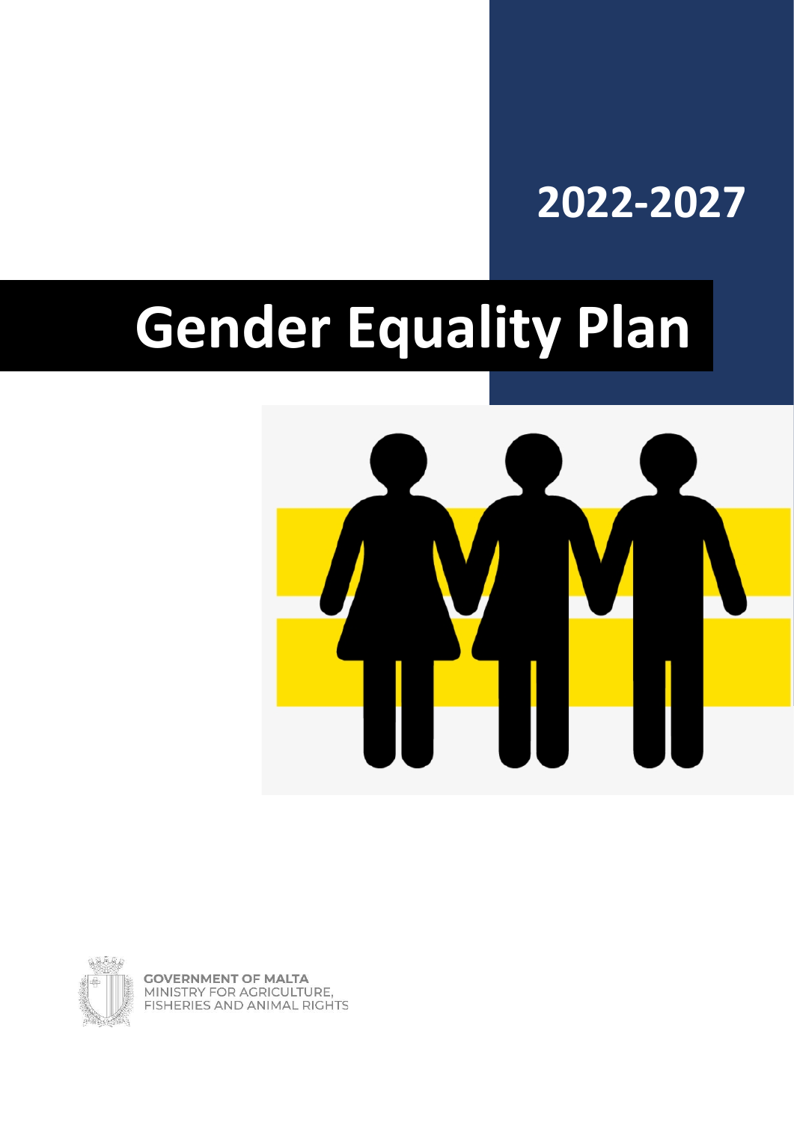# **2022-2027**

# **Gender Equality Plan**





**GOVERNMENT OF MALTA** MINISTRY FOR AGRICULTURE, **FISHERIES AND ANIMAL RIGHTS**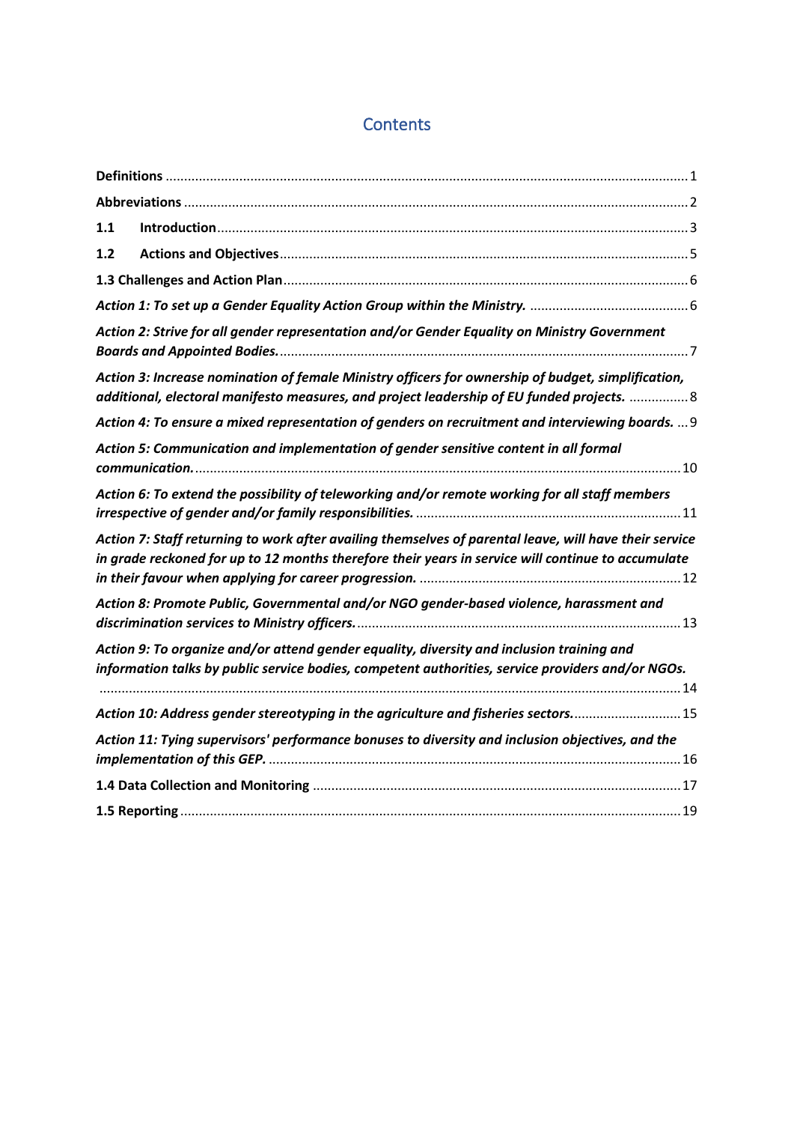#### **Contents**

| 1.1 |                                                                                                                                                                                                              |  |
|-----|--------------------------------------------------------------------------------------------------------------------------------------------------------------------------------------------------------------|--|
| 1.2 |                                                                                                                                                                                                              |  |
|     |                                                                                                                                                                                                              |  |
|     |                                                                                                                                                                                                              |  |
|     | Action 2: Strive for all gender representation and/or Gender Equality on Ministry Government                                                                                                                 |  |
|     | Action 3: Increase nomination of female Ministry officers for ownership of budget, simplification,<br>additional, electoral manifesto measures, and project leadership of EU funded projects.  8             |  |
|     | Action 4: To ensure a mixed representation of genders on recruitment and interviewing boards.  9                                                                                                             |  |
|     | Action 5: Communication and implementation of gender sensitive content in all formal                                                                                                                         |  |
|     | Action 6: To extend the possibility of teleworking and/or remote working for all staff members                                                                                                               |  |
|     | Action 7: Staff returning to work after availing themselves of parental leave, will have their service<br>in grade reckoned for up to 12 months therefore their years in service will continue to accumulate |  |
|     | Action 8: Promote Public, Governmental and/or NGO gender-based violence, harassment and                                                                                                                      |  |
|     | Action 9: To organize and/or attend gender equality, diversity and inclusion training and<br>information talks by public service bodies, competent authorities, service providers and/or NGOs.               |  |
|     | Action 10: Address gender stereotyping in the agriculture and fisheries sectors 15                                                                                                                           |  |
|     | Action 11: Tying supervisors' performance bonuses to diversity and inclusion objectives, and the                                                                                                             |  |
|     |                                                                                                                                                                                                              |  |
|     |                                                                                                                                                                                                              |  |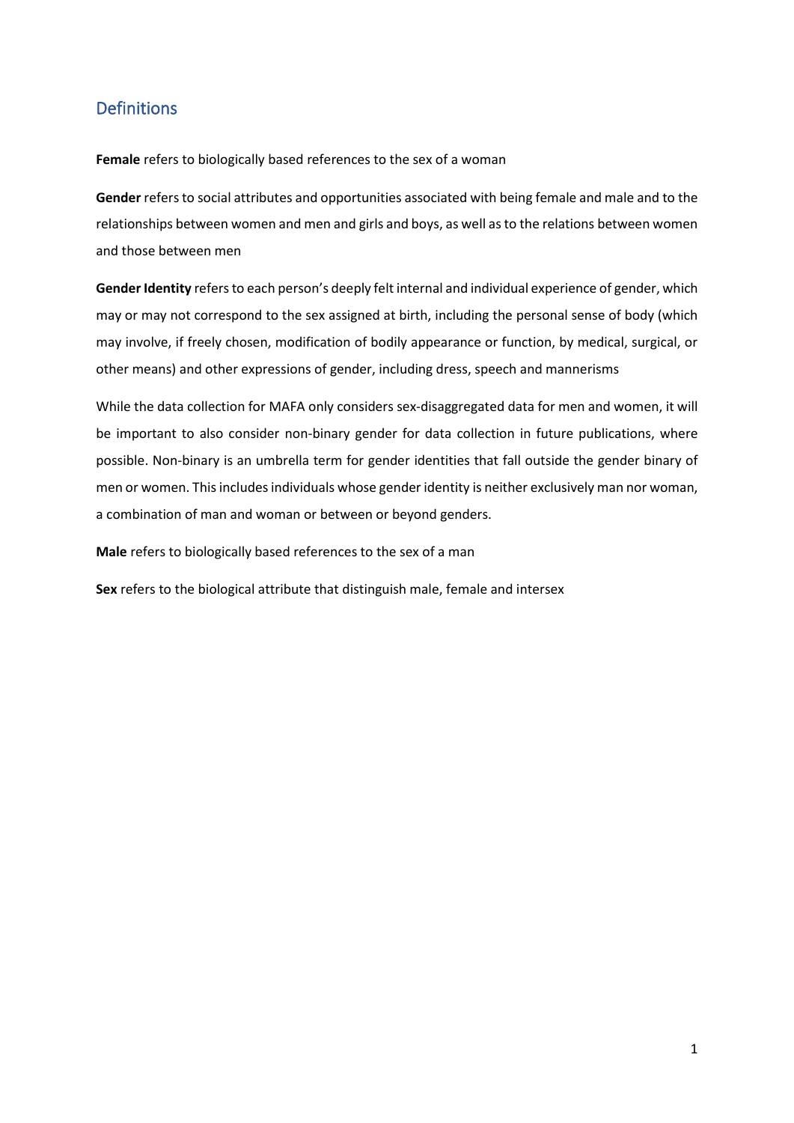#### <span id="page-2-0"></span>Definitions

**Female** refers to biologically based references to the sex of a woman

**Gender** refers to social attributes and opportunities associated with being female and male and to the relationships between women and men and girls and boys, as well as to the relations between women and those between men

**Gender Identity** refers to each person's deeply felt internal and individual experience of gender, which may or may not correspond to the sex assigned at birth, including the personal sense of body (which may involve, if freely chosen, modification of bodily appearance or function, by medical, surgical, or other means) and other expressions of gender, including dress, speech and mannerisms

While the data collection for MAFA only considers sex-disaggregated data for men and women, it will be important to also consider non-binary gender for data collection in future publications, where possible. Non-binary is an umbrella term for gender identities that fall outside the gender binary of men or women. This includes individuals whose gender identity is neither exclusively man nor woman, a combination of man and woman or between or beyond genders.

**Male** refers to biologically based references to the sex of a man

**Sex** refers to the biological attribute that distinguish male, female and intersex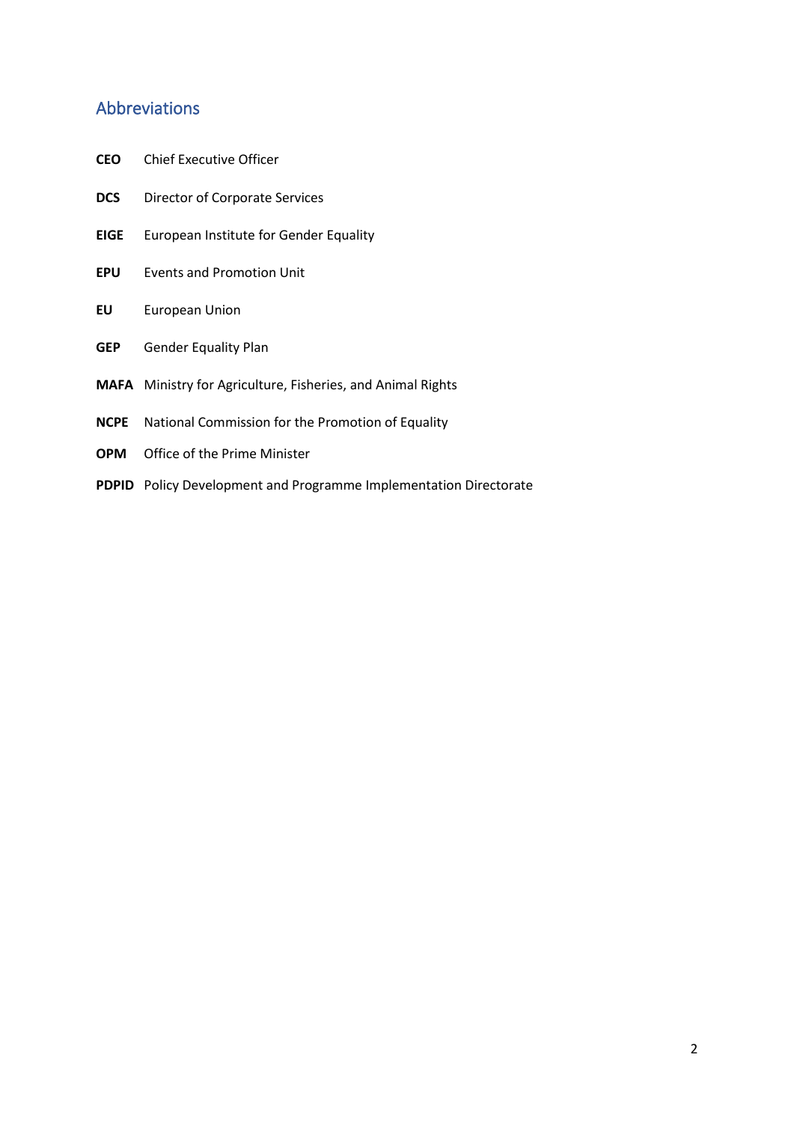#### <span id="page-3-0"></span>Abbreviations

- **CEO** Chief Executive Officer
- **DCS** Director of Corporate Services
- **EIGE** European Institute for Gender Equality
- **EPU** Events and Promotion Unit
- **EU** European Union
- **GEP** Gender Equality Plan
- **MAFA** Ministry for Agriculture, Fisheries, and Animal Rights
- **NCPE** National Commission for the Promotion of Equality
- **OPM** Office of the Prime Minister
- **PDPID** Policy Development and Programme Implementation Directorate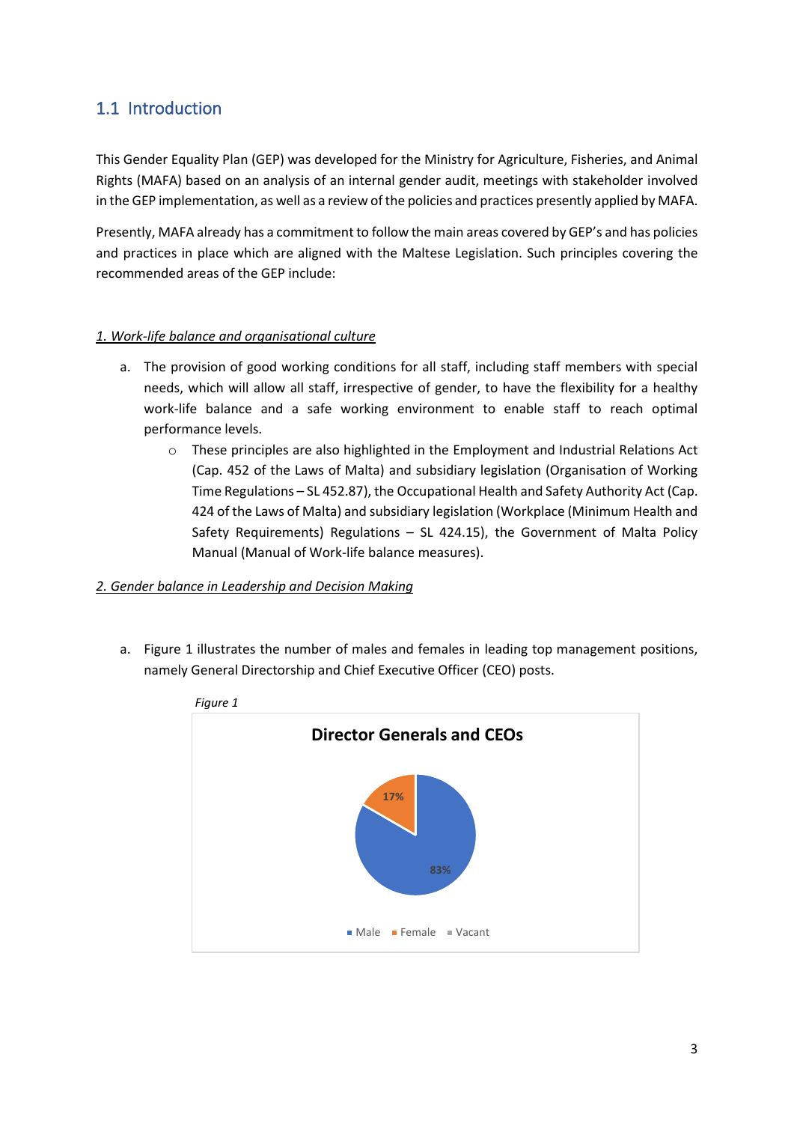#### <span id="page-4-0"></span>1.1 Introduction

This Gender Equality Plan (GEP) was developed for the Ministry for Agriculture, Fisheries, and Animal Rights (MAFA) based on an analysis of an internal gender audit, meetings with stakeholder involved in the GEP implementation, as well as a review of the policies and practices presently applied by MAFA.

Presently, MAFA already has a commitment to follow the main areas covered by GEP's and has policies and practices in place which are aligned with the Maltese Legislation. Such principles covering the recommended areas of the GEP include:

#### *1. Work-life balance and organisational culture*

- a. The provision of good working conditions for all staff, including staff members with special needs, which will allow all staff, irrespective of gender, to have the flexibility for a healthy work-life balance and a safe working environment to enable staff to reach optimal performance levels.
	- $\circ$  These principles are also highlighted in the Employment and Industrial Relations Act (Cap. 452 of the Laws of Malta) and subsidiary legislation (Organisation of Working Time Regulations – SL 452.87), the Occupational Health and Safety Authority Act (Cap. 424 of the Laws of Malta) and subsidiary legislation (Workplace (Minimum Health and Safety Requirements) Regulations – SL 424.15), the Government of Malta Policy Manual (Manual of Work-life balance measures).

#### *2. Gender balance in Leadership and Decision Making*

a. Figure 1 illustrates the number of males and females in leading top management positions, namely General Directorship and Chief Executive Officer (CEO) posts.



*Figure 1*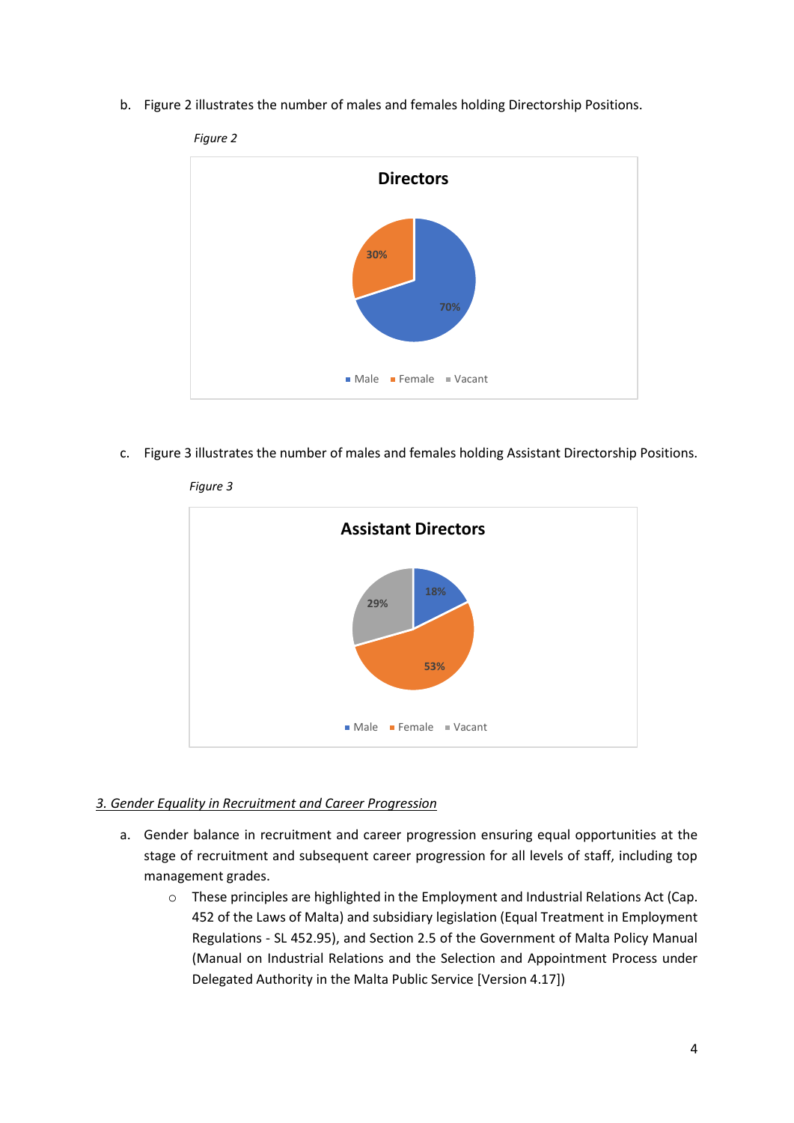b. Figure 2 illustrates the number of males and females holding Directorship Positions.



c. Figure 3 illustrates the number of males and females holding Assistant Directorship Positions.



#### *Figure 3*

#### *3. Gender Equality in Recruitment and Career Progression*

- a. Gender balance in recruitment and career progression ensuring equal opportunities at the stage of recruitment and subsequent career progression for all levels of staff, including top management grades.
	- o These principles are highlighted in the Employment and Industrial Relations Act (Cap. 452 of the Laws of Malta) and subsidiary legislation (Equal Treatment in Employment Regulations - SL 452.95), and Section 2.5 of the Government of Malta Policy Manual (Manual on Industrial Relations and the Selection and Appointment Process under Delegated Authority in the Malta Public Service [Version 4.17])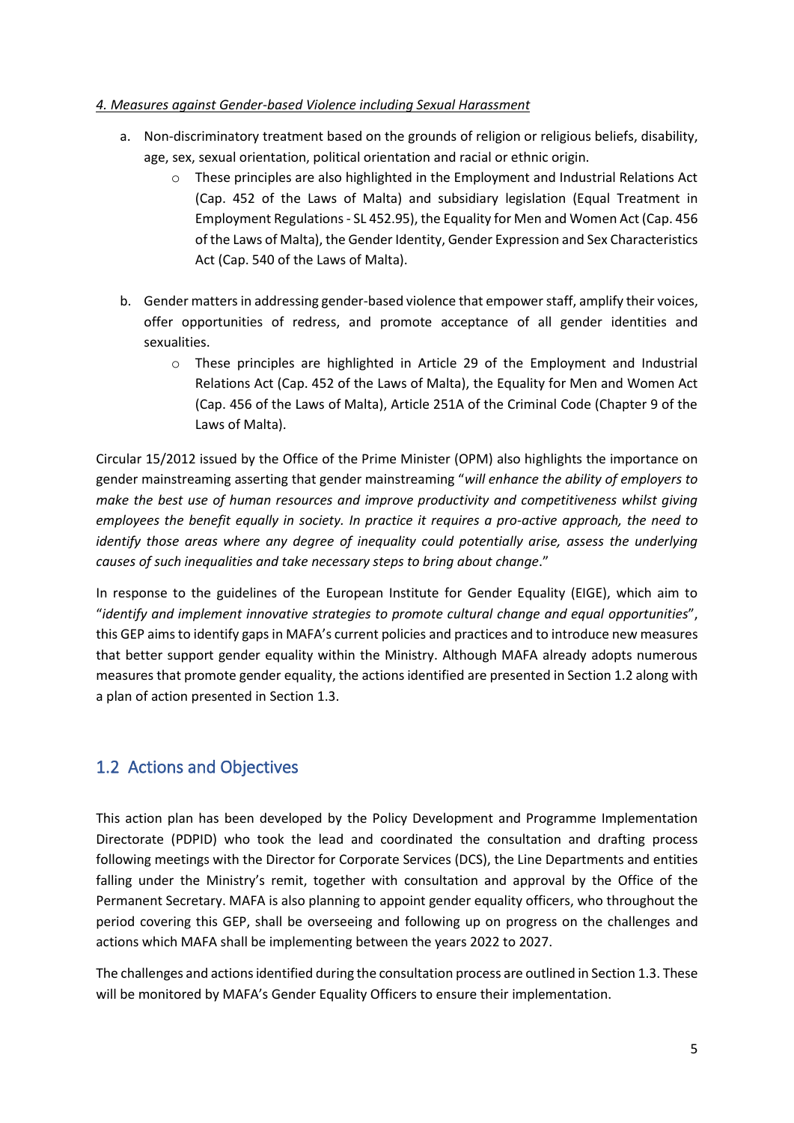#### *4. Measures against Gender-based Violence including Sexual Harassment*

- a. Non-discriminatory treatment based on the grounds of religion or religious beliefs, disability, age, sex, sexual orientation, political orientation and racial or ethnic origin.
	- $\circ$  These principles are also highlighted in the Employment and Industrial Relations Act (Cap. 452 of the Laws of Malta) and subsidiary legislation (Equal Treatment in Employment Regulations - SL 452.95), the Equality for Men and Women Act (Cap. 456 of the Laws of Malta), the Gender Identity, Gender Expression and Sex Characteristics Act (Cap. 540 of the Laws of Malta).
- b. Gender mattersin addressing gender-based violence that empower staff, amplify their voices, offer opportunities of redress, and promote acceptance of all gender identities and sexualities.
	- $\circ$  These principles are highlighted in Article 29 of the Employment and Industrial Relations Act (Cap. 452 of the Laws of Malta), the Equality for Men and Women Act (Cap. 456 of the Laws of Malta), Article 251A of the Criminal Code (Chapter 9 of the Laws of Malta).

Circular 15/2012 issued by the Office of the Prime Minister (OPM) also highlights the importance on gender mainstreaming asserting that gender mainstreaming "*will enhance the ability of employers to make the best use of human resources and improve productivity and competitiveness whilst giving employees the benefit equally in society. In practice it requires a pro-active approach, the need to identify those areas where any degree of inequality could potentially arise, assess the underlying causes of such inequalities and take necessary steps to bring about change*."

In response to the guidelines of the European Institute for Gender Equality (EIGE), which aim to "*identify and implement innovative strategies to promote cultural change and equal opportunities*", this GEP aims to identify gaps in MAFA's current policies and practices and to introduce new measures that better support gender equality within the Ministry. Although MAFA already adopts numerous measures that promote gender equality, the actions identified are presented in Section 1.2 along with a plan of action presented in Section 1.3.

# <span id="page-6-0"></span>1.2 Actions and Objectives

This action plan has been developed by the Policy Development and Programme Implementation Directorate (PDPID) who took the lead and coordinated the consultation and drafting process following meetings with the Director for Corporate Services (DCS), the Line Departments and entities falling under the Ministry's remit, together with consultation and approval by the Office of the Permanent Secretary. MAFA is also planning to appoint gender equality officers, who throughout the period covering this GEP, shall be overseeing and following up on progress on the challenges and actions which MAFA shall be implementing between the years 2022 to 2027.

The challenges and actions identified during the consultation process are outlined in Section 1.3. These will be monitored by MAFA's Gender Equality Officers to ensure their implementation.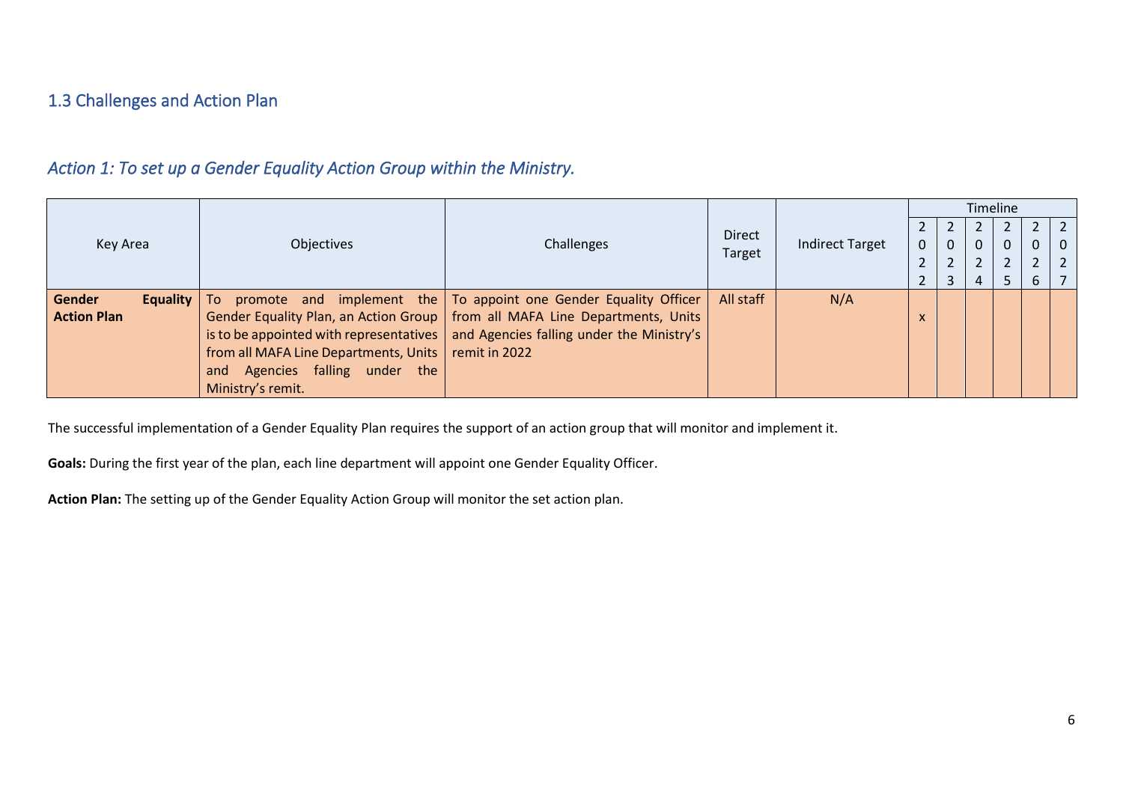#### 1.3 Challenges and Action Plan

# *Action 1: To set up a Gender Equality Action Group within the Ministry.*

|                           |                                       |                                                                                     |               |                        |                   |          | Timeline |             |              |
|---------------------------|---------------------------------------|-------------------------------------------------------------------------------------|---------------|------------------------|-------------------|----------|----------|-------------|--------------|
|                           |                                       |                                                                                     | <b>Direct</b> |                        |                   |          |          |             |              |
| Key Area                  | <b>Objectives</b>                     | Challenges                                                                          | <b>Target</b> | <b>Indirect Target</b> |                   | $\Omega$ | 0        | $\mathbf 0$ | $\mathbf{0}$ |
|                           |                                       |                                                                                     |               |                        | $\mathbf{\hat{}}$ |          | ີ        | C.          | 2            |
|                           |                                       |                                                                                     |               |                        |                   |          | 5        | b           |              |
| Gender<br><b>Equality</b> | <b>To</b>                             | promote and implement the To appoint one Gender Equality Officer                    | All staff     | N/A                    |                   |          |          |             |              |
| <b>Action Plan</b>        |                                       | Gender Equality Plan, an Action Group   from all MAFA Line Departments, Units       |               |                        | X                 |          |          |             |              |
|                           |                                       | is to be appointed with representatives   and Agencies falling under the Ministry's |               |                        |                   |          |          |             |              |
|                           | from all MAFA Line Departments, Units | remit in 2022                                                                       |               |                        |                   |          |          |             |              |
|                           | Agencies falling under the<br>and     |                                                                                     |               |                        |                   |          |          |             |              |
|                           | Ministry's remit.                     |                                                                                     |               |                        |                   |          |          |             |              |

<span id="page-7-0"></span>The successful implementation of a Gender Equality Plan requires the support of an action group that will monitor and implement it.

<span id="page-7-1"></span>**Goals:** During the first year of the plan, each line department will appoint one Gender Equality Officer.

**Action Plan:** The setting up of the Gender Equality Action Group will monitor the set action plan.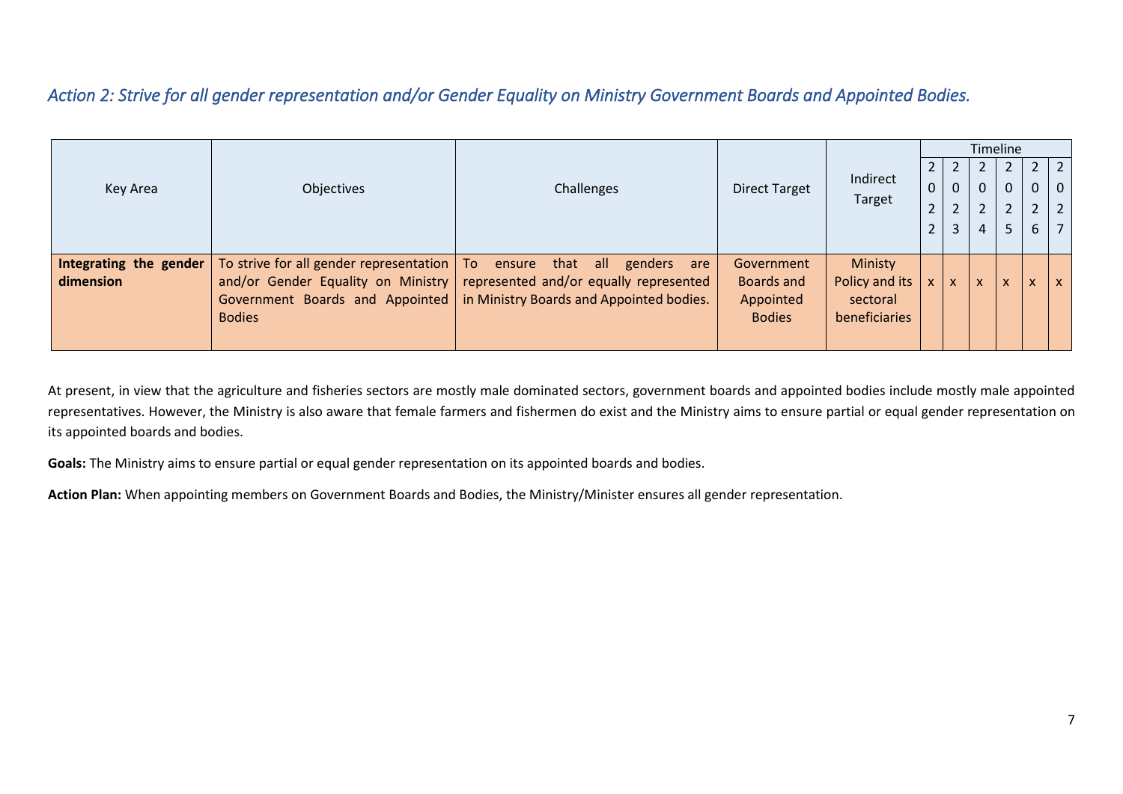### *Action 2: Strive for all gender representation and/or Gender Equality on Ministry Government Boards and Appointed Bodies.*

|                                     |                                                                        |                                                                                                                                                                                       |                                                        |                                                               |                                                           |                     |    | Timeline                      |                                     |                                                    |
|-------------------------------------|------------------------------------------------------------------------|---------------------------------------------------------------------------------------------------------------------------------------------------------------------------------------|--------------------------------------------------------|---------------------------------------------------------------|-----------------------------------------------------------|---------------------|----|-------------------------------|-------------------------------------|----------------------------------------------------|
| Key Area                            | Objectives                                                             | Challenges                                                                                                                                                                            | <b>Direct Target</b>                                   | Indirect<br>Target                                            | $\overline{2}$<br>$\pmb{0}$<br>$\mathbf{r}$<br>$\epsilon$ | 0<br>$\overline{2}$ | 0  | $\mathbf 0$<br>$\overline{2}$ | $\mathbf{2}$<br>0<br>$\overline{2}$ | 2 <sup>1</sup><br>$\overline{0}$<br>2 <sup>1</sup> |
|                                     |                                                                        |                                                                                                                                                                                       |                                                        |                                                               | $\mathbf{r}$<br>$\epsilon$                                | 3                   |    | 5                             | 6                                   | $\overline{7}$                                     |
| Integrating the gender<br>dimension | To strive for all gender representation $ $ To ensure<br><b>Bodies</b> | that all<br>genders<br>are<br>and/or Gender Equality on Ministry represented and/or equally represented<br>Government Boards and Appointed   in Ministry Boards and Appointed bodies. | Government<br>Boards and<br>Appointed<br><b>Bodies</b> | Ministy<br>Policy and its<br>sectoral<br><b>beneficiaries</b> | $\mathsf{x}$                                              | X.                  | X. | X                             |                                     | $\mathsf{x}$                                       |

<span id="page-8-0"></span>At present, in view that the agriculture and fisheries sectors are mostly male dominated sectors, government boards and appointed bodies include mostly male appointed representatives. However, the Ministry is also aware that female farmers and fishermen do exist and the Ministry aims to ensure partial or equal gender representation on its appointed boards and bodies.

**Goals:** The Ministry aims to ensure partial or equal gender representation on its appointed boards and bodies.

**Action Plan:** When appointing members on Government Boards and Bodies, the Ministry/Minister ensures all gender representation.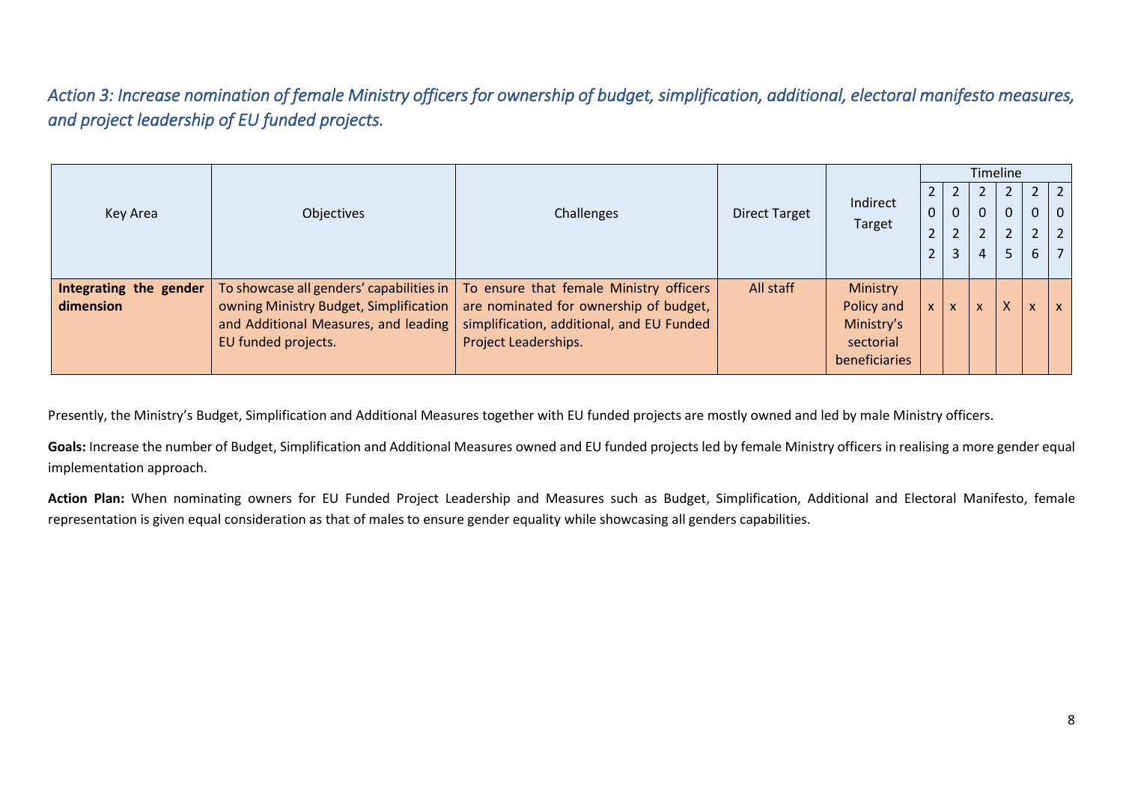*Action 3: Increase nomination of female Ministry officers for ownership of budget, simplification, additional, electoral manifesto measures, and project leadership of EU funded projects.* 

|                        |                                          |                                           |                      |               |                |          |   | Timeline |              |                |
|------------------------|------------------------------------------|-------------------------------------------|----------------------|---------------|----------------|----------|---|----------|--------------|----------------|
|                        |                                          |                                           |                      |               | 2              |          |   |          |              | $\overline{2}$ |
| Key Area               | Objectives                               | Challenges                                | <b>Direct Target</b> | Indirect      | $\mathbf 0$    | $\Omega$ | 0 | $\Omega$ | $\mathbf{0}$ | $\mathbf{0}$   |
|                        |                                          |                                           |                      | Target        | $\overline{2}$ |          | າ | ำ        | 2            | $\overline{2}$ |
|                        |                                          |                                           |                      |               | $\overline{2}$ | 3        | 4 | 5        | 6            | $\overline{7}$ |
|                        |                                          |                                           |                      |               |                |          |   |          |              |                |
| Integrating the gender | To showcase all genders' capabilities in | To ensure that female Ministry officers   | All staff            | Ministry      |                |          |   |          |              |                |
| dimension              | owning Ministry Budget, Simplification   | are nominated for ownership of budget,    |                      | Policy and    | $\mathsf{x}$   | X        | X |          | X            | $\mathsf{x}$   |
|                        | and Additional Measures, and leading     | simplification, additional, and EU Funded |                      | Ministry's    |                |          |   |          |              |                |
|                        | EU funded projects.                      | Project Leaderships.                      |                      | sectorial     |                |          |   |          |              |                |
|                        |                                          |                                           |                      | beneficiaries |                |          |   |          |              |                |

<span id="page-9-0"></span>Presently, the Ministry's Budget, Simplification and Additional Measures together with EU funded projects are mostly owned and led by male Ministry officers.

Goals: Increase the number of Budget, Simplification and Additional Measures owned and EU funded projects led by female Ministry officers in realising a more gender equal implementation approach.

**Action Plan:** When nominating owners for EU Funded Project Leadership and Measures such as Budget, Simplification, Additional and Electoral Manifesto, female representation is given equal consideration as that of males to ensure gender equality while showcasing all genders capabilities.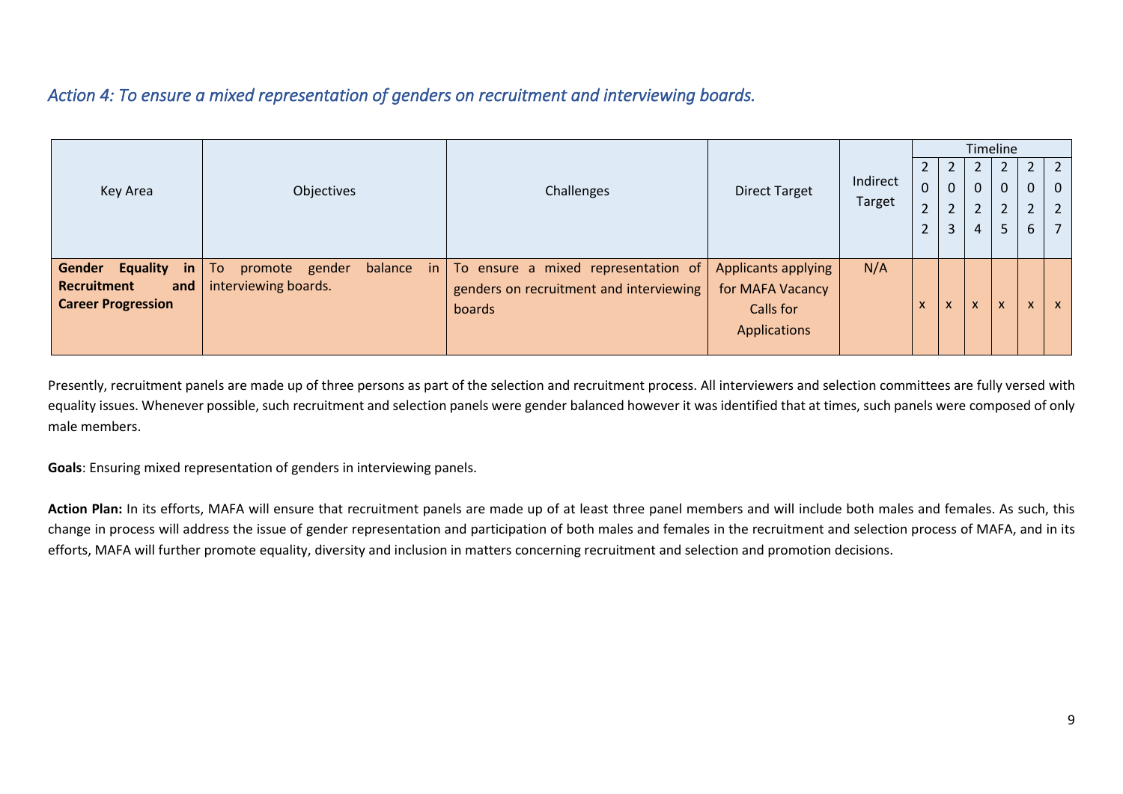### *Action 4: To ensure a mixed representation of genders on recruitment and interviewing boards.*

|                                 |                                                     |                                         |                      |          |                            |                                                      | Timeline                  |                             |                           |                |
|---------------------------------|-----------------------------------------------------|-----------------------------------------|----------------------|----------|----------------------------|------------------------------------------------------|---------------------------|-----------------------------|---------------------------|----------------|
|                                 |                                                     |                                         |                      |          |                            |                                                      |                           |                             |                           | $\sqrt{2}$     |
| Key Area                        | Objectives                                          | Challenges                              | <b>Direct Target</b> | Indirect | 0                          | $\Omega$                                             | $\Omega$                  | $\mathbf{0}$                | 0                         | $\overline{0}$ |
|                                 |                                                     |                                         |                      | Target   | $\mathbf{r}$<br>$\epsilon$ | $\overline{\phantom{a}}$                             | 2                         | $\overline{2}$              | $\mathcal{D}$             | $\overline{2}$ |
|                                 |                                                     |                                         |                      |          | $\overline{2}$             |                                                      | $\overline{4}$            | 5                           | 6                         | $\overline{7}$ |
|                                 |                                                     |                                         |                      |          |                            |                                                      |                           |                             |                           |                |
| Gender<br><b>Equality</b><br>in | To<br>balance<br>gender<br>promote<br>$\mathsf{in}$ | To ensure a mixed representation of     | Applicants applying  | N/A      |                            |                                                      |                           |                             |                           |                |
| Recruitment<br>and              | interviewing boards.                                | genders on recruitment and interviewing | for MAFA Vacancy     |          |                            |                                                      |                           |                             |                           |                |
| <b>Career Progression</b>       |                                                     | boards                                  | Calls for            |          | $\boldsymbol{\mathsf{x}}$  | $\overline{\mathbf{v}}$<br>$\boldsymbol{\mathsf{x}}$ | $\boldsymbol{\mathsf{x}}$ | $\overline{ }$<br>$\lambda$ | $\boldsymbol{\mathsf{x}}$ | $\mathsf{x}$   |
|                                 |                                                     |                                         | <b>Applications</b>  |          |                            |                                                      |                           |                             |                           |                |
|                                 |                                                     |                                         |                      |          |                            |                                                      |                           |                             |                           |                |

<span id="page-10-0"></span>Presently, recruitment panels are made up of three persons as part of the selection and recruitment process. All interviewers and selection committees are fully versed with equality issues. Whenever possible, such recruitment and selection panels were gender balanced however it was identified that at times, such panels were composed of only male members.

**Goals**: Ensuring mixed representation of genders in interviewing panels.

**Action Plan:** In its efforts, MAFA will ensure that recruitment panels are made up of at least three panel members and will include both males and females. As such, this change in process will address the issue of gender representation and participation of both males and females in the recruitment and selection process of MAFA, and in its efforts, MAFA will further promote equality, diversity and inclusion in matters concerning recruitment and selection and promotion decisions.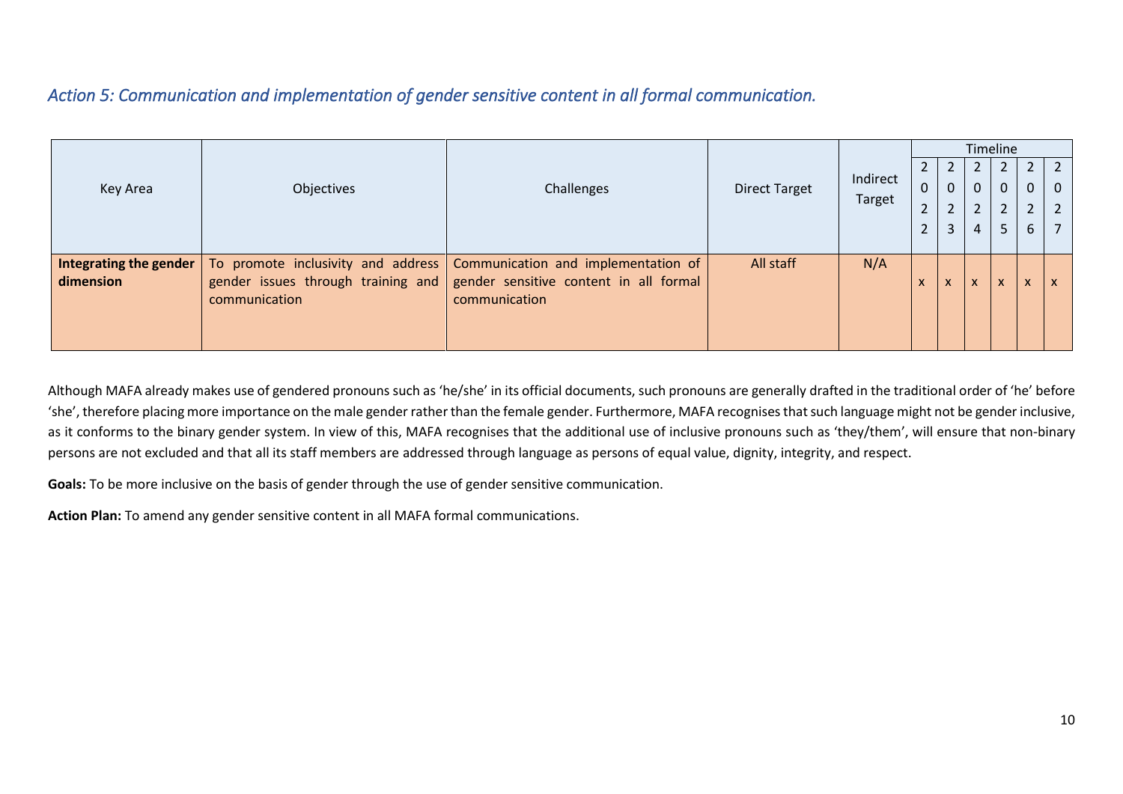#### *Action 5: Communication and implementation of gender sensitive content in all formal communication.*

| Objectives | Challenges    | <b>Direct Target</b>                                                                                                                | Indirect                                         | $2^{\circ}$<br>$\mathbf 0$ | 0          |                                | $\mathbf{0}$   | $\mathbf{0}$   | $\sqrt{2}$<br>$\mathbf{0}$ |
|------------|---------------|-------------------------------------------------------------------------------------------------------------------------------------|--------------------------------------------------|----------------------------|------------|--------------------------------|----------------|----------------|----------------------------|
|            |               |                                                                                                                                     |                                                  | $\overline{2}$             |            | <sup>1</sup>                   | $\overline{2}$ | $\overline{2}$ | $\overline{2}$             |
|            |               |                                                                                                                                     |                                                  | $\overline{2}$             |            |                                | 5              | 6              | $\overline{7}$             |
|            |               |                                                                                                                                     |                                                  |                            |            |                                |                |                |                            |
|            |               |                                                                                                                                     |                                                  |                            |            |                                |                |                |                            |
|            |               |                                                                                                                                     |                                                  | X                          | $\sqrt{ }$ | $\overline{ }$<br>$\mathbf{v}$ | $\mathsf{x}$   | X              | X                          |
|            |               |                                                                                                                                     |                                                  |                            |            |                                |                |                |                            |
|            |               |                                                                                                                                     |                                                  |                            |            |                                |                |                |                            |
|            | communication | To promote inclusivity and address<br>gender sensitive content in all formal<br>gender issues through training and<br>communication | All staff<br>Communication and implementation of | Target<br>N/A              |            |                                |                |                | Timeline                   |

<span id="page-11-0"></span>Although MAFA already makes use of gendered pronouns such as 'he/she' in its official documents, such pronouns are generally drafted in the traditional order of 'he' before 'she', therefore placing more importance on the male gender rather than the female gender. Furthermore, MAFA recognises that such language might not be gender inclusive, as it conforms to the binary gender system. In view of this, MAFA recognises that the additional use of inclusive pronouns such as 'they/them', will ensure that non-binary persons are not excluded and that all its staff members are addressed through language as persons of equal value, dignity, integrity, and respect.

**Goals:** To be more inclusive on the basis of gender through the use of gender sensitive communication.

**Action Plan:** To amend any gender sensitive content in all MAFA formal communications.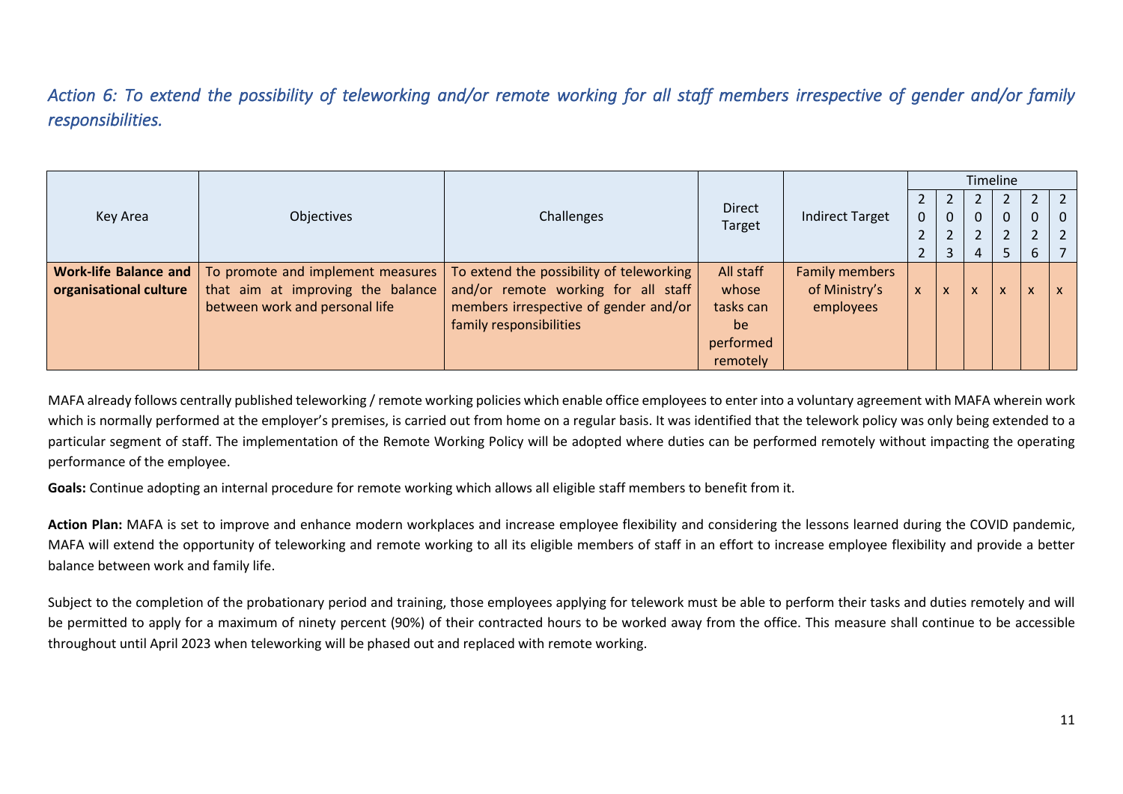*Action 6: To extend the possibility of teleworking and/or remote working for all staff members irrespective of gender and/or family responsibilities.* 

|                              |                                   |                                          |               |                        |              |                |   | Timeline     |              |          |
|------------------------------|-----------------------------------|------------------------------------------|---------------|------------------------|--------------|----------------|---|--------------|--------------|----------|
|                              |                                   |                                          | <b>Direct</b> |                        |              |                |   |              |              |          |
| Key Area                     | Objectives                        | Challenges                               | Target        | <b>Indirect Target</b> |              | $\mathbf 0$    | 0 | $\mathbf 0$  | $\Omega$     | $\Omega$ |
|                              |                                   |                                          |               |                        | $\epsilon$   |                | 2 | ົາ           | $\mathbf{D}$ |          |
|                              |                                   |                                          |               |                        | $\epsilon$   | $\overline{3}$ | 4 |              | 6            |          |
| <b>Work-life Balance and</b> | To promote and implement measures | To extend the possibility of teleworking | All staff     | <b>Family members</b>  |              |                |   |              |              |          |
| organisational culture       | that aim at improving the balance | and/or remote working for all staff      | whose         | of Ministry's          | $\mathsf{x}$ | X              | X | $\mathsf{x}$ | $\mathsf{x}$ |          |
|                              | between work and personal life    | members irrespective of gender and/or    | tasks can     | employees              |              |                |   |              |              |          |
|                              |                                   | family responsibilities                  | be            |                        |              |                |   |              |              |          |
|                              |                                   |                                          | performed     |                        |              |                |   |              |              |          |
|                              |                                   |                                          | remotely      |                        |              |                |   |              |              |          |

<span id="page-12-0"></span>MAFA already follows centrally published teleworking / remote working policies which enable office employees to enter into a voluntary agreement with MAFA wherein work which is normally performed at the employer's premises, is carried out from home on a regular basis. It was identified that the telework policy was only being extended to a particular segment of staff. The implementation of the Remote Working Policy will be adopted where duties can be performed remotely without impacting the operating performance of the employee.

**Goals:** Continue adopting an internal procedure for remote working which allows all eligible staff members to benefit from it.

**Action Plan:** MAFA is set to improve and enhance modern workplaces and increase employee flexibility and considering the lessons learned during the COVID pandemic, MAFA will extend the opportunity of teleworking and remote working to all its eligible members of staff in an effort to increase employee flexibility and provide a better balance between work and family life.

Subject to the completion of the probationary period and training, those employees applying for telework must be able to perform their tasks and duties remotely and will be permitted to apply for a maximum of ninety percent (90%) of their contracted hours to be worked away from the office. This measure shall continue to be accessible throughout until April 2023 when teleworking will be phased out and replaced with remote working.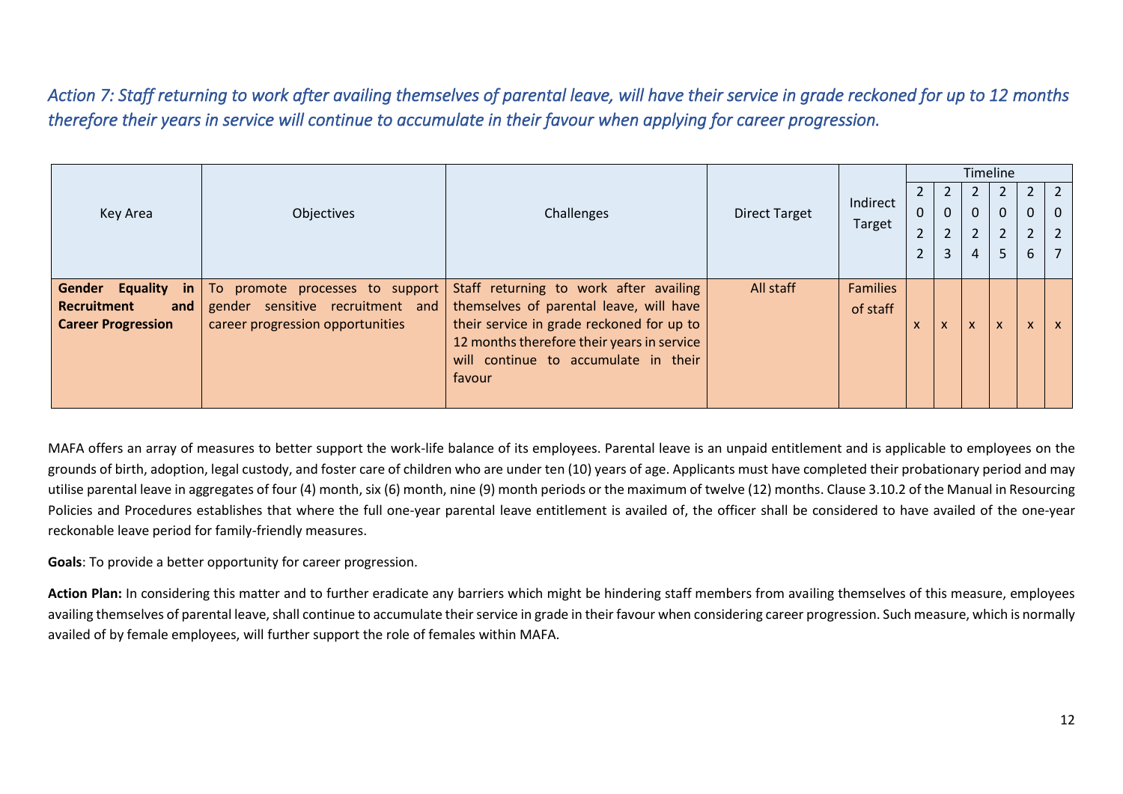*Action 7: Staff returning to work after availing themselves of parental leave, will have their service in grade reckoned for up to 12 months therefore their years in service will continue to accumulate in their favour when applying for career progression.* 

|                                 |                                  |                                            |                      |                 |              |          |                | Timeline       |                           |              |
|---------------------------------|----------------------------------|--------------------------------------------|----------------------|-----------------|--------------|----------|----------------|----------------|---------------------------|--------------|
|                                 |                                  |                                            |                      |                 |              |          |                |                |                           |              |
| <b>Key Area</b>                 | Objectives                       | Challenges                                 | <b>Direct Target</b> | Indirect        | $\mathbf{0}$ | $\Omega$ | $\mathbf{0}$   | $\mathbf 0$    | $\mathbf 0$               | $\mathbf{0}$ |
|                                 |                                  |                                            |                      | Target          | ີ            |          | $\overline{2}$ | $\overline{2}$ | $\overline{2}$            |              |
|                                 |                                  |                                            |                      |                 |              | 3        | 4              | 5              | 6                         |              |
|                                 |                                  |                                            |                      |                 |              |          |                |                |                           |              |
| Gender<br><b>Equality</b><br>in | To promote processes to support  | Staff returning to work after availing     | All staff            | <b>Families</b> |              |          |                |                |                           |              |
| Recruitment<br>and              | gender sensitive recruitment and | themselves of parental leave, will have    |                      | of staff        |              |          |                |                |                           |              |
| <b>Career Progression</b>       | career progression opportunities | their service in grade reckoned for up to  |                      |                 |              | X        | $\mathsf{x}$   | $\mathsf{x}$   | $\boldsymbol{\mathsf{x}}$ | $\mathsf{x}$ |
|                                 |                                  | 12 months therefore their years in service |                      |                 |              |          |                |                |                           |              |
|                                 |                                  | will continue to accumulate in their       |                      |                 |              |          |                |                |                           |              |
|                                 |                                  | favour                                     |                      |                 |              |          |                |                |                           |              |
|                                 |                                  |                                            |                      |                 |              |          |                |                |                           |              |

<span id="page-13-0"></span>MAFA offers an array of measures to better support the work-life balance of its employees. Parental leave is an unpaid entitlement and is applicable to employees on the grounds of birth, adoption, legal custody, and foster care of children who are under ten (10) years of age. Applicants must have completed their probationary period and may utilise parental leave in aggregates of four (4) month, six (6) month, nine (9) month periods or the maximum of twelve (12) months. Clause 3.10.2 of the Manual in Resourcing Policies and Procedures establishes that where the full one-year parental leave entitlement is availed of, the officer shall be considered to have availed of the one-year reckonable leave period for family-friendly measures.

**Goals**: To provide a better opportunity for career progression.

**Action Plan:** In considering this matter and to further eradicate any barriers which might be hindering staff members from availing themselves of this measure, employees availing themselves of parental leave, shall continue to accumulate their service in grade in their favour when considering career progression. Such measure, which is normally availed of by female employees, will further support the role of females within MAFA.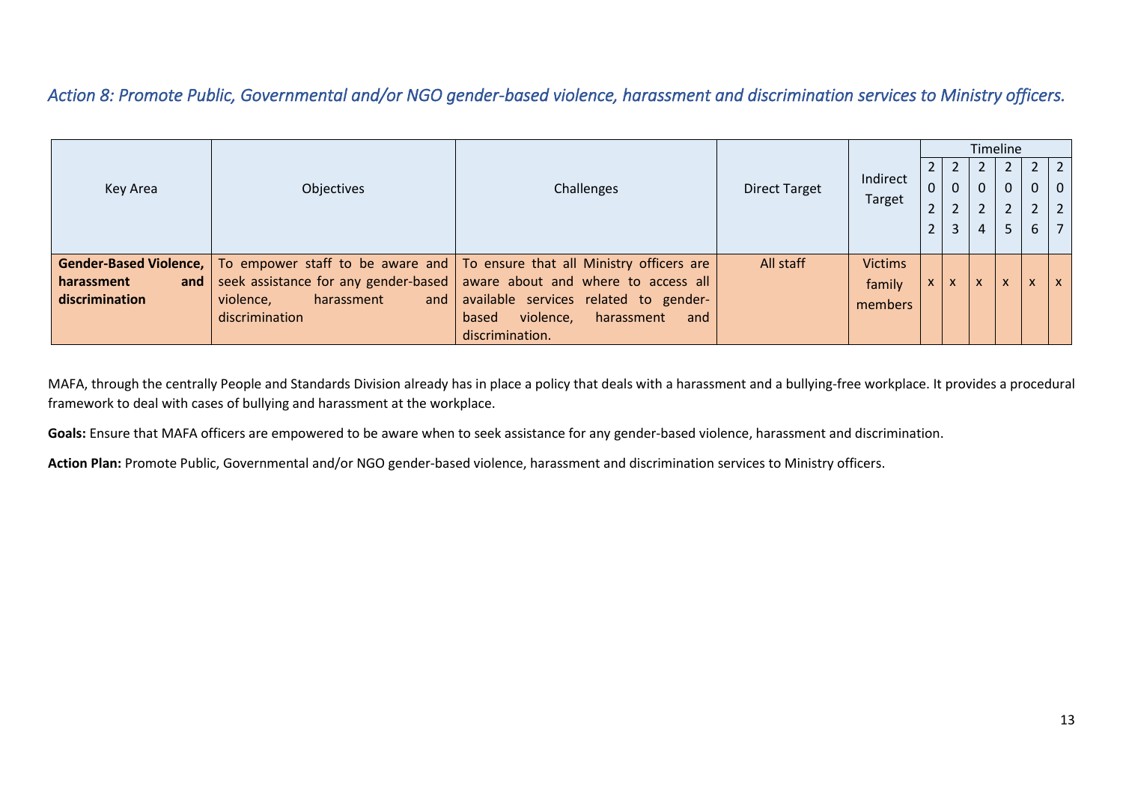*Action 8: Promote Public, Governmental and/or NGO gender-based violence, harassment and discrimination services to Ministry officers.* 

|                   |                                |                                                                                                             |                      |                |                                 |                | Timeline     |              |                |                 |
|-------------------|--------------------------------|-------------------------------------------------------------------------------------------------------------|----------------------|----------------|---------------------------------|----------------|--------------|--------------|----------------|-----------------|
|                   |                                |                                                                                                             |                      |                | $\mathbf{Z}$                    |                |              |              |                | $2 \mid 2 \mid$ |
| Key Area          | Objectives                     | Challenges                                                                                                  | <b>Direct Target</b> | Indirect       | $\mathbf 0$                     | 0              | $\Omega$     | $\mathbf{0}$ |                | 0   0           |
|                   |                                |                                                                                                             |                      | Target         | $\mathbf{\Omega}$<br>$\epsilon$ | $\overline{2}$ |              | ົາ           | $\overline{2}$ | $2^{\circ}$     |
|                   |                                |                                                                                                             |                      |                |                                 | 3              |              |              | 6              |                 |
|                   |                                |                                                                                                             |                      |                |                                 |                |              |              |                |                 |
|                   |                                | <b>Gender-Based Violence,</b>   To empower staff to be aware and   To ensure that all Ministry officers are | All staff            | <b>Victims</b> |                                 |                |              |              |                |                 |
| harassment<br>and |                                | seek assistance for any gender-based   aware about and where to access all                                  |                      | family         | $\mathsf{x}$                    | v.             | $\mathbf{A}$ |              |                |                 |
| discrimination    | violence,<br>harassment<br>and | available services related to gender-                                                                       |                      | members        |                                 |                |              |              |                |                 |
|                   | discrimination                 | violence,<br>harassment<br>based<br>and                                                                     |                      |                |                                 |                |              |              |                |                 |
|                   |                                | discrimination.                                                                                             |                      |                |                                 |                |              |              |                |                 |

MAFA, through the centrally People and Standards Division already has in place a policy that deals with a harassment and a bullying-free workplace. It provides a procedural framework to deal with cases of bullying and harassment at the workplace.

<span id="page-14-0"></span>**Goals:** Ensure that MAFA officers are empowered to be aware when to seek assistance for any gender-based violence, harassment and discrimination.

**Action Plan:** Promote Public, Governmental and/or NGO gender-based violence, harassment and discrimination services to Ministry officers.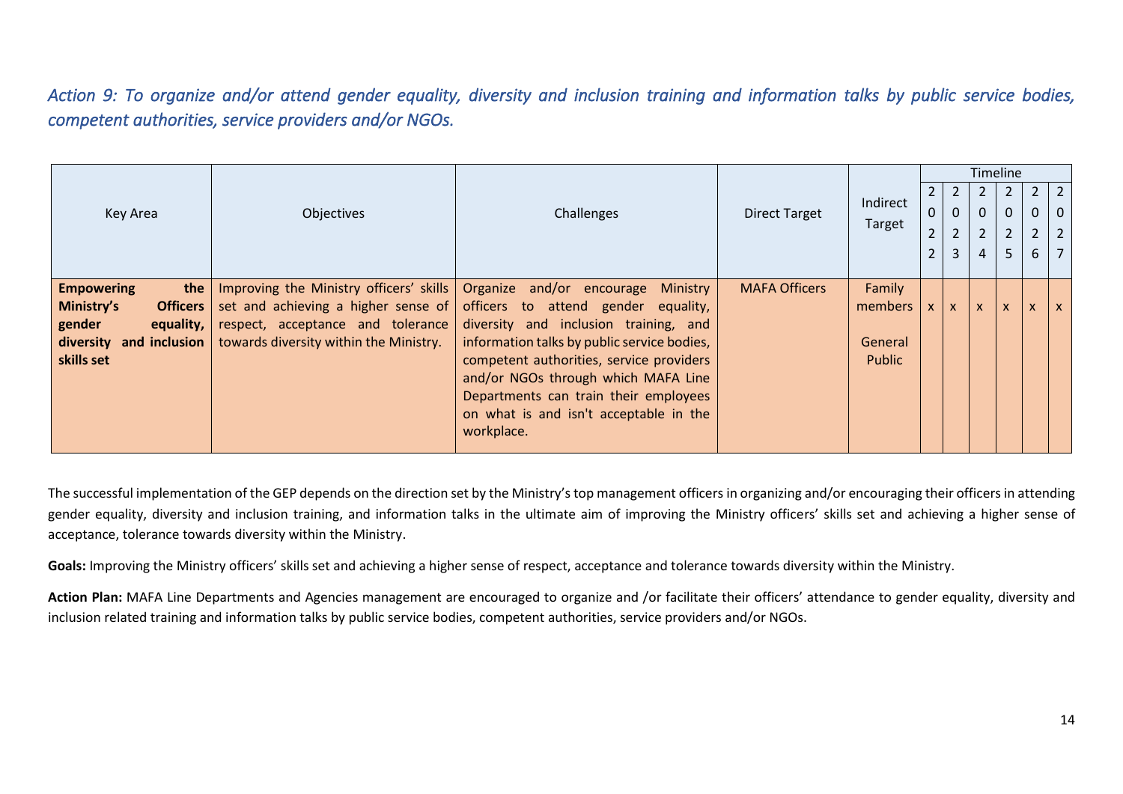*Action 9: To organize and/or attend gender equality, diversity and inclusion training and information talks by public service bodies, competent authorities, service providers and/or NGOs.* 

|                               |                                             |                                             |                      |          |                |                |                | Timeline       |                |                |
|-------------------------------|---------------------------------------------|---------------------------------------------|----------------------|----------|----------------|----------------|----------------|----------------|----------------|----------------|
|                               |                                             |                                             |                      |          |                |                |                | $\overline{2}$ | $2^{\circ}$    | $\overline{2}$ |
| Key Area                      | Objectives                                  | Challenges                                  | <b>Direct Target</b> | Indirect | $\overline{0}$ | $\mathbf{0}$   | $\Omega$       | $\mathbf 0$    | 0              | $\overline{0}$ |
|                               |                                             |                                             |                      | Target   | $\overline{2}$ | $\overline{2}$ | $\overline{2}$ | $\overline{2}$ | $\overline{2}$ | $\overline{2}$ |
|                               |                                             |                                             |                      |          | $\overline{2}$ | 3              | 4              | 5              | 6              | $\overline{7}$ |
|                               |                                             |                                             |                      |          |                |                |                |                |                |                |
| <b>Empowering</b><br>the      | Improving the Ministry officers' skills     | Organize and/or encourage<br>Ministry       | <b>MAFA Officers</b> | Family   |                |                |                |                |                |                |
| Ministry's<br><b>Officers</b> | set and achieving a higher sense of $\vert$ | officers to attend gender equality,         |                      | members  | $\mathsf{x}$   | X.             | $\mathsf{x}$   | $\mathsf{x}$   |                | $\mathsf{x}$   |
| gender<br>equality, $ $       | respect, acceptance and tolerance           | diversity and inclusion training, and       |                      |          |                |                |                |                |                |                |
| diversity<br>and inclusion    | towards diversity within the Ministry.      | information talks by public service bodies, |                      | General  |                |                |                |                |                |                |
| skills set                    |                                             | competent authorities, service providers    |                      | Public   |                |                |                |                |                |                |
|                               |                                             | and/or NGOs through which MAFA Line         |                      |          |                |                |                |                |                |                |
|                               |                                             | Departments can train their employees       |                      |          |                |                |                |                |                |                |
|                               |                                             | on what is and isn't acceptable in the      |                      |          |                |                |                |                |                |                |
|                               |                                             | workplace.                                  |                      |          |                |                |                |                |                |                |

<span id="page-15-0"></span>The successful implementation of the GEP depends on the direction set by the Ministry's top management officers in organizing and/or encouraging their officers in attending gender equality, diversity and inclusion training, and information talks in the ultimate aim of improving the Ministry officers' skills set and achieving a higher sense of acceptance, tolerance towards diversity within the Ministry.

Goals: Improving the Ministry officers' skills set and achieving a higher sense of respect, acceptance and tolerance towards diversity within the Ministry.

Action Plan: MAFA Line Departments and Agencies management are encouraged to organize and /or facilitate their officers' attendance to gender equality, diversity and inclusion related training and information talks by public service bodies, competent authorities, service providers and/or NGOs.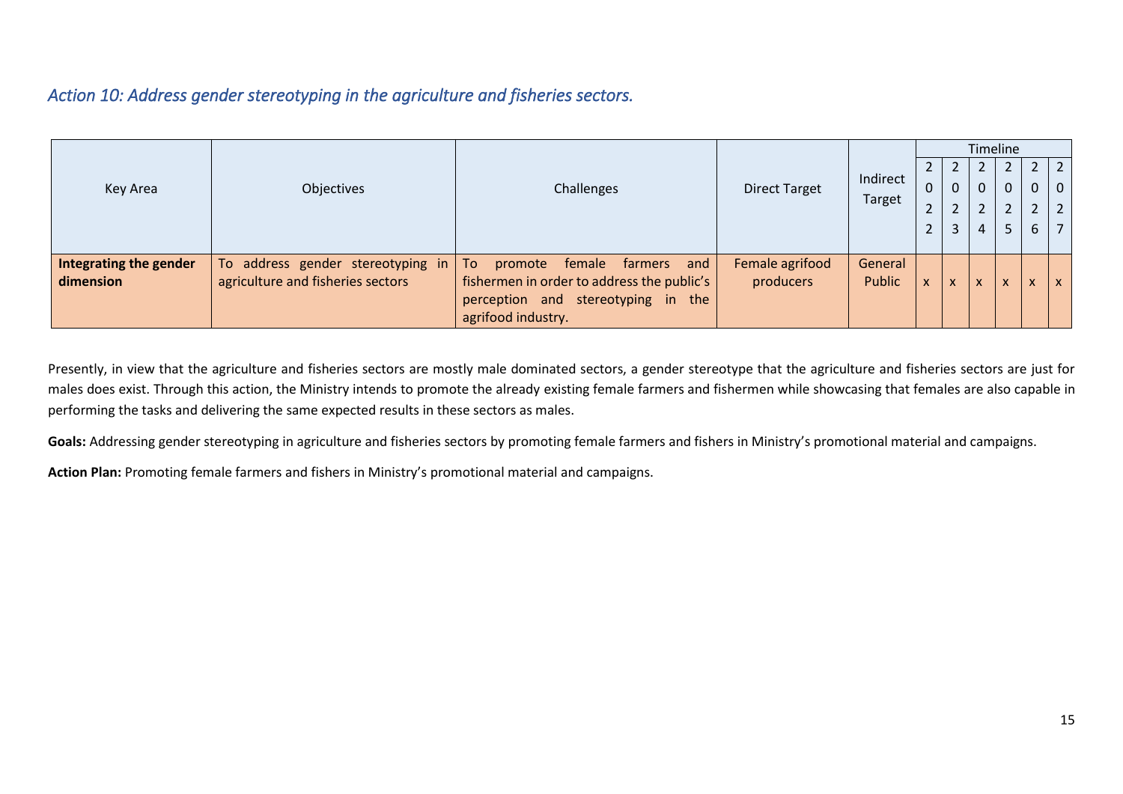### *Action 10: Address gender stereotyping in the agriculture and fisheries sectors.*

|                        |                                   |                                             |                      |               |                |   | Timeline      |              |              |                 |
|------------------------|-----------------------------------|---------------------------------------------|----------------------|---------------|----------------|---|---------------|--------------|--------------|-----------------|
|                        |                                   |                                             |                      |               |                |   |               |              |              | $2 \mid 2 \mid$ |
| Key Area               | Objectives                        | Challenges                                  | <b>Direct Target</b> | Indirect      | $\mathbf 0$    | 0 | 0             | $\mathbf{0}$ | $\mathbf{0}$ | $ 0\rangle$     |
|                        |                                   |                                             |                      | <b>Target</b> | $\overline{2}$ | ำ | $\mathcal{D}$ | $\mathbf{r}$ | C.           | $\vert 2 \vert$ |
|                        |                                   |                                             |                      |               | $\overline{2}$ | 3 | 4             | 5            | 6            | $\overline{7}$  |
|                        |                                   |                                             |                      |               |                |   |               |              |              |                 |
| Integrating the gender | To address gender stereotyping in | and<br>To<br>promote<br>female<br>farmers   | Female agrifood      | General       |                |   |               |              |              |                 |
| dimension              | agriculture and fisheries sectors | fishermen in order to address the public's  | producers            | <b>Public</b> | $\mathsf{x}$   | X | $\mathbf{v}$  |              | $\mathsf{x}$ | $\mathsf{X}$    |
|                        |                                   | stereotyping in<br>the<br>perception<br>and |                      |               |                |   |               |              |              |                 |
|                        |                                   | agrifood industry.                          |                      |               |                |   |               |              |              |                 |

Presently, in view that the agriculture and fisheries sectors are mostly male dominated sectors, a gender stereotype that the agriculture and fisheries sectors are just for males does exist. Through this action, the Ministry intends to promote the already existing female farmers and fishermen while showcasing that females are also capable in performing the tasks and delivering the same expected results in these sectors as males.

<span id="page-16-0"></span>Goals: Addressing gender stereotyping in agriculture and fisheries sectors by promoting female farmers and fishers in Ministry's promotional material and campaigns.

**Action Plan:** Promoting female farmers and fishers in Ministry's promotional material and campaigns.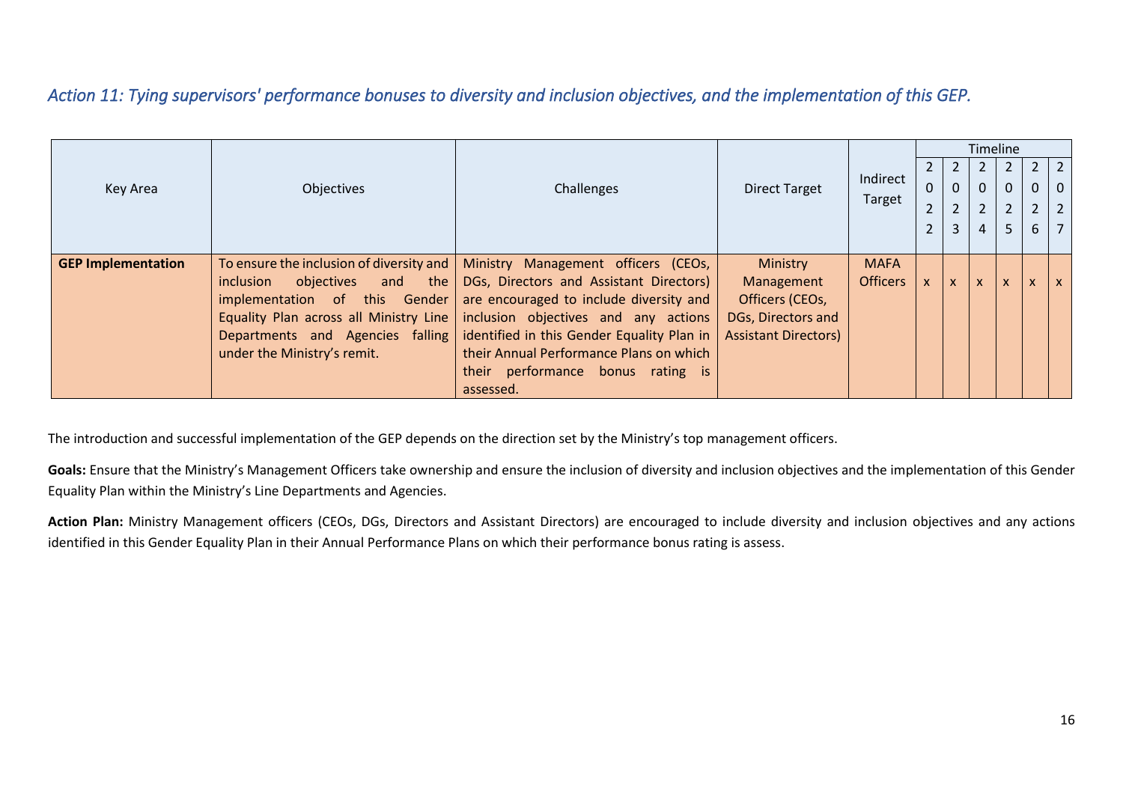# *Action 11: Tying supervisors' performance bonuses to diversity and inclusion objectives, and the implementation of this GEP.*

|                           |                                          |                                            |                             |                 |                |                |                | Timeline       |                           |                |
|---------------------------|------------------------------------------|--------------------------------------------|-----------------------------|-----------------|----------------|----------------|----------------|----------------|---------------------------|----------------|
|                           |                                          |                                            |                             |                 |                | 2              |                |                |                           | 2 <sup>1</sup> |
| Key Area                  | Objectives                               | Challenges                                 | <b>Direct Target</b>        | Indirect        | $\overline{0}$ | $\Omega$       | 0              | 0              |                           | $\overline{0}$ |
|                           |                                          |                                            |                             | Target          | $\overline{2}$ | $\overline{2}$ | $\overline{2}$ | $\overline{2}$ | $2^{\circ}$               | $\overline{2}$ |
|                           |                                          |                                            |                             |                 | $\overline{2}$ | 3              | 4              | 5.             | 6                         |                |
|                           |                                          |                                            |                             |                 |                |                |                |                |                           |                |
| <b>GEP Implementation</b> | To ensure the inclusion of diversity and | Ministry Management officers (CEOs,        | Ministry                    | <b>MAFA</b>     |                |                |                |                |                           |                |
|                           | inclusion<br>objectives<br>the<br>and    | DGs, Directors and Assistant Directors)    | Management                  | <b>Officers</b> | <b>X</b>       | $\mathsf{x}$   | X              | X              | $\boldsymbol{\mathsf{x}}$ | X              |
|                           | implementation of this Gender            | are encouraged to include diversity and    | Officers (CEOs,             |                 |                |                |                |                |                           |                |
|                           | Equality Plan across all Ministry Line   | inclusion objectives and any actions       | DGs, Directors and          |                 |                |                |                |                |                           |                |
|                           | Departments and Agencies falling         | identified in this Gender Equality Plan in | <b>Assistant Directors)</b> |                 |                |                |                |                |                           |                |
|                           | under the Ministry's remit.              | their Annual Performance Plans on which    |                             |                 |                |                |                |                |                           |                |
|                           |                                          | their performance bonus rating is          |                             |                 |                |                |                |                |                           |                |
|                           |                                          | assessed.                                  |                             |                 |                |                |                |                |                           |                |

<span id="page-17-0"></span>The introduction and successful implementation of the GEP depends on the direction set by the Ministry's top management officers.

Goals: Ensure that the Ministry's Management Officers take ownership and ensure the inclusion of diversity and inclusion objectives and the implementation of this Gender Equality Plan within the Ministry's Line Departments and Agencies.

Action Plan: Ministry Management officers (CEOs, DGs, Directors and Assistant Directors) are encouraged to include diversity and inclusion objectives and any actions identified in this Gender Equality Plan in their Annual Performance Plans on which their performance bonus rating is assess.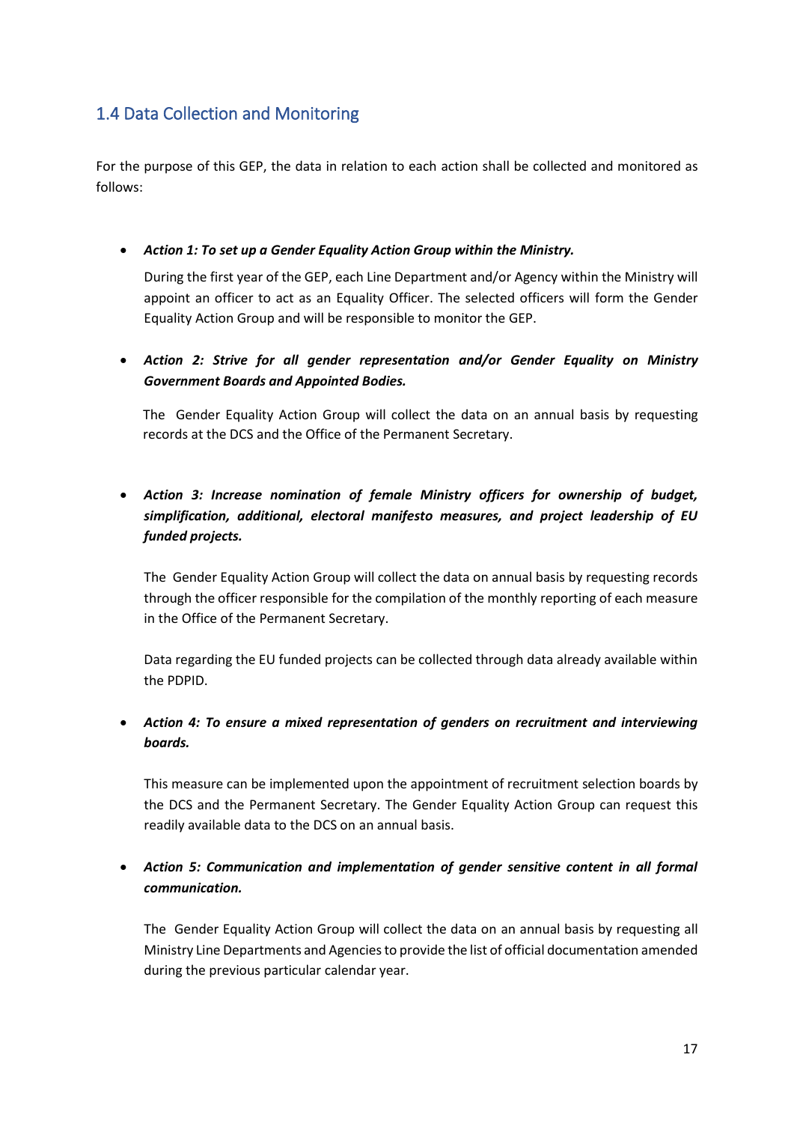# <span id="page-18-0"></span>1.4 Data Collection and Monitoring

For the purpose of this GEP, the data in relation to each action shall be collected and monitored as follows:

• *Action 1: To set up a Gender Equality Action Group within the Ministry.*

During the first year of the GEP, each Line Department and/or Agency within the Ministry will appoint an officer to act as an Equality Officer. The selected officers will form the Gender Equality Action Group and will be responsible to monitor the GEP.

• *Action 2: Strive for all gender representation and/or Gender Equality on Ministry Government Boards and Appointed Bodies.*

The Gender Equality Action Group will collect the data on an annual basis by requesting records at the DCS and the Office of the Permanent Secretary.

• *Action 3: Increase nomination of female Ministry officers for ownership of budget, simplification, additional, electoral manifesto measures, and project leadership of EU funded projects.*

The Gender Equality Action Group will collect the data on annual basis by requesting records through the officer responsible for the compilation of the monthly reporting of each measure in the Office of the Permanent Secretary.

Data regarding the EU funded projects can be collected through data already available within the PDPID.

• *Action 4: To ensure a mixed representation of genders on recruitment and interviewing boards.*

This measure can be implemented upon the appointment of recruitment selection boards by the DCS and the Permanent Secretary. The Gender Equality Action Group can request this readily available data to the DCS on an annual basis.

• *Action 5: Communication and implementation of gender sensitive content in all formal communication.*

The Gender Equality Action Group will collect the data on an annual basis by requesting all Ministry Line Departments and Agencies to provide the list of official documentation amended during the previous particular calendar year.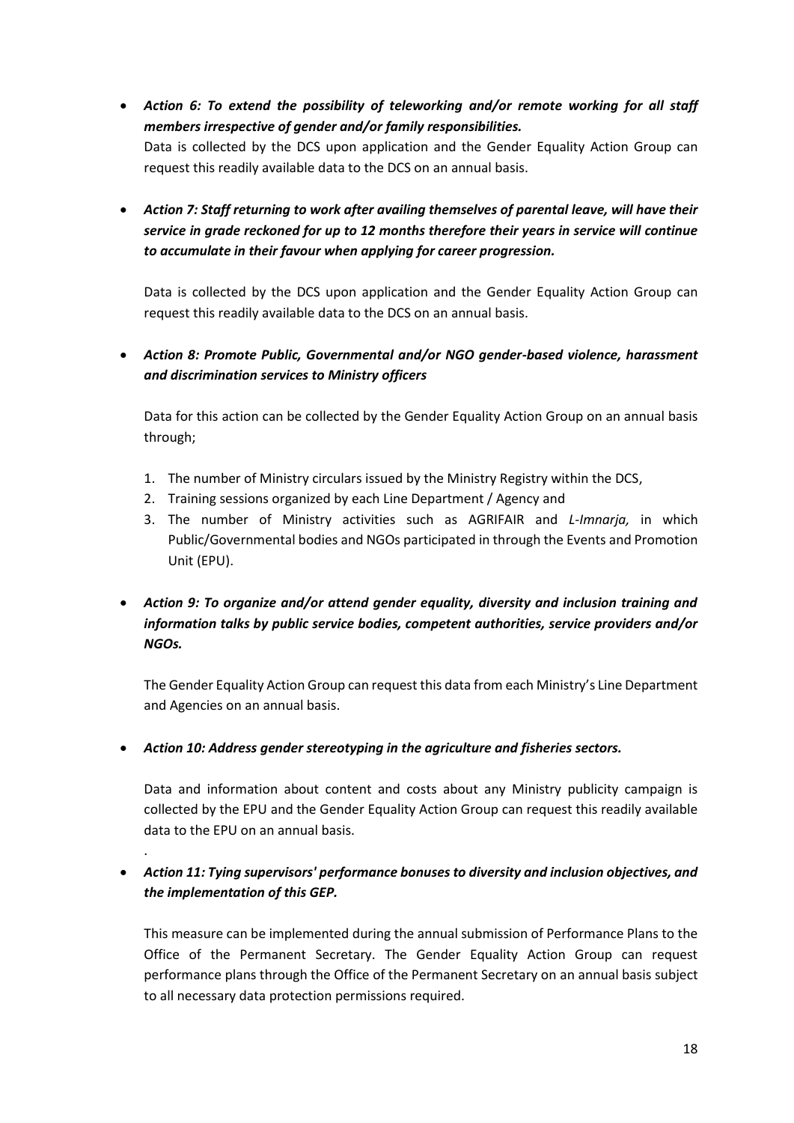- *Action 6: To extend the possibility of teleworking and/or remote working for all staff members irrespective of gender and/or family responsibilities.* Data is collected by the DCS upon application and the Gender Equality Action Group can request this readily available data to the DCS on an annual basis.
- *Action 7: Staff returning to work after availing themselves of parental leave, will have their service in grade reckoned for up to 12 months therefore their years in service will continue to accumulate in their favour when applying for career progression.*

Data is collected by the DCS upon application and the Gender Equality Action Group can request this readily available data to the DCS on an annual basis.

• *Action 8: Promote Public, Governmental and/or NGO gender-based violence, harassment and discrimination services to Ministry officers* 

Data for this action can be collected by the Gender Equality Action Group on an annual basis through;

- 1. The number of Ministry circulars issued by the Ministry Registry within the DCS,
- 2. Training sessions organized by each Line Department / Agency and
- 3. The number of Ministry activities such as AGRIFAIR and *L-Imnarja,* in which Public/Governmental bodies and NGOs participated in through the Events and Promotion Unit (EPU).
- *Action 9: To organize and/or attend gender equality, diversity and inclusion training and information talks by public service bodies, competent authorities, service providers and/or NGOs.*

The Gender Equality Action Group can request this data from each Ministry's Line Department and Agencies on an annual basis.

• *Action 10: Address gender stereotyping in the agriculture and fisheries sectors.*

.

Data and information about content and costs about any Ministry publicity campaign is collected by the EPU and the Gender Equality Action Group can request this readily available data to the EPU on an annual basis.

• *Action 11: Tying supervisors' performance bonuses to diversity and inclusion objectives, and the implementation of this GEP.*

This measure can be implemented during the annual submission of Performance Plans to the Office of the Permanent Secretary. The Gender Equality Action Group can request performance plans through the Office of the Permanent Secretary on an annual basis subject to all necessary data protection permissions required.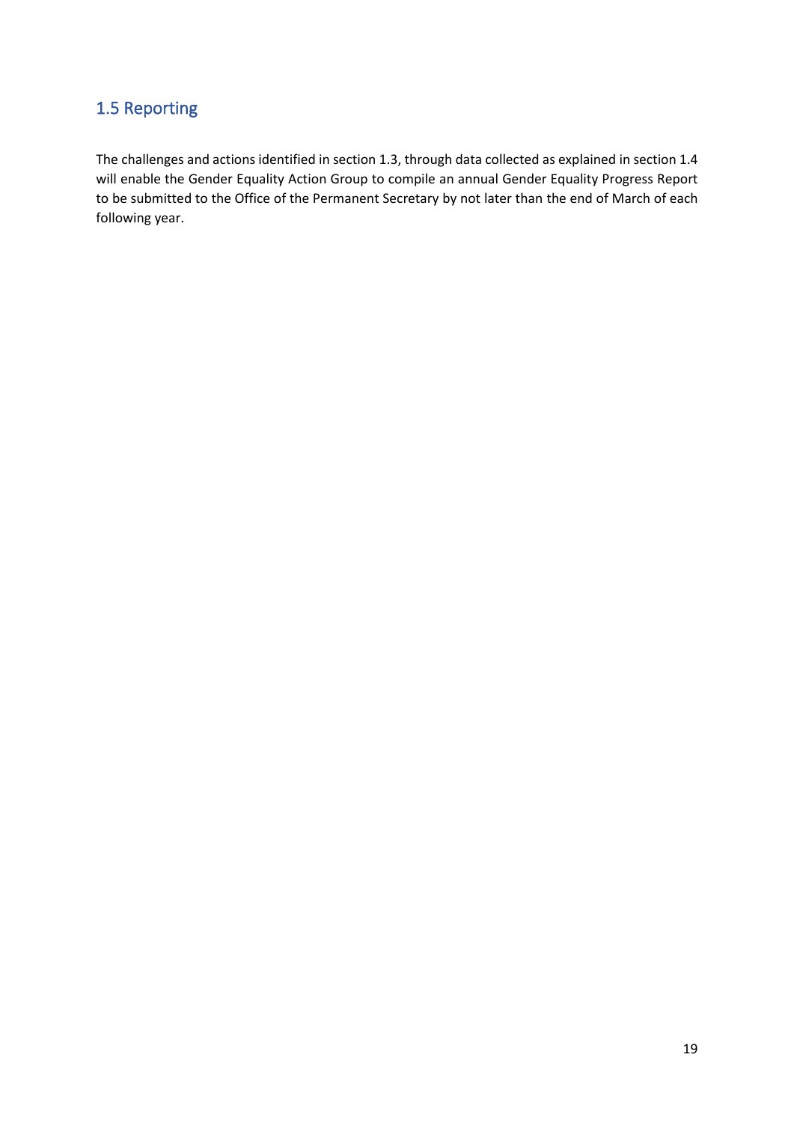#### <span id="page-20-0"></span>1.5 Reporting

The challenges and actions identified in section 1.3, through data collected as explained in section 1.4 will enable the Gender Equality Action Group to compile an annual Gender Equality Progress Report to be submitted to the Office of the Permanent Secretary by not later than the end of March of each following year.